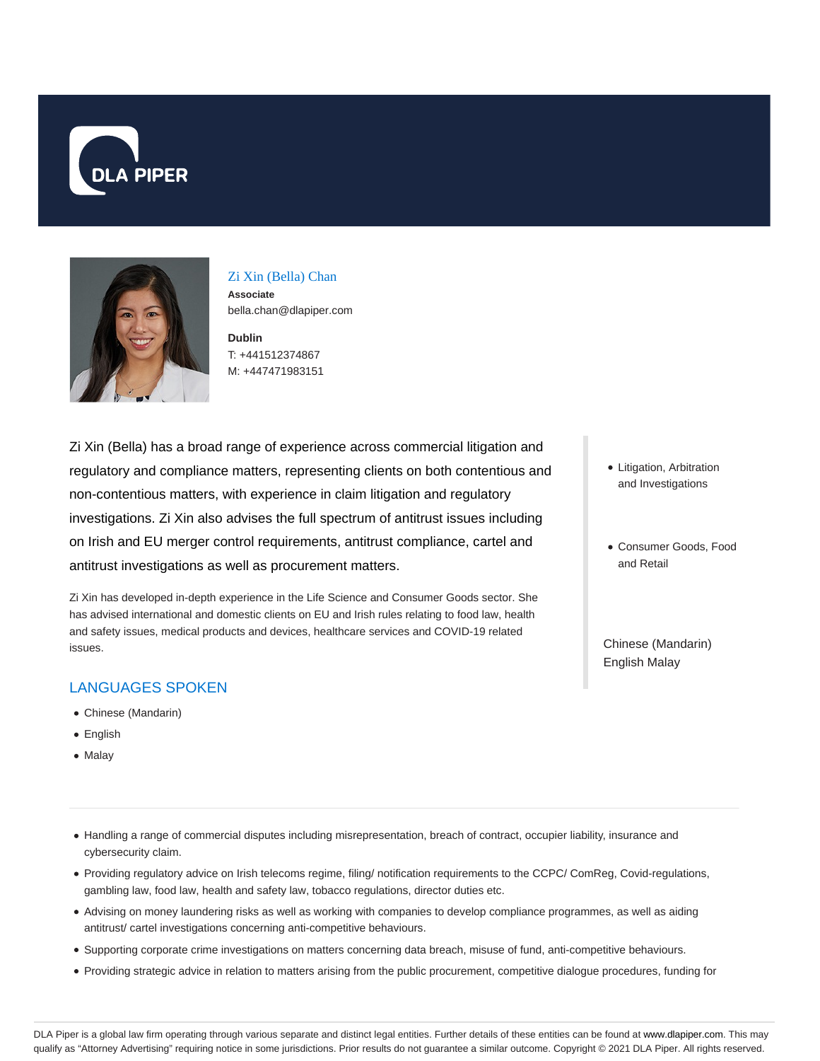



#### Zi Xin (Bella) Chan **Associate**

bella.chan@dlapiper.com

**Dublin** T: +441512374867 M: +447471983151

Zi Xin (Bella) has a broad range of experience across commercial litigation and regulatory and compliance matters, representing clients on both contentious and non-contentious matters, with experience in claim litigation and regulatory investigations. Zi Xin also advises the full spectrum of antitrust issues including on Irish and EU merger control requirements, antitrust compliance, cartel and antitrust investigations as well as procurement matters.

Zi Xin has developed in-depth experience in the Life Science and Consumer Goods sector. She has advised international and domestic clients on EU and Irish rules relating to food law, health and safety issues, medical products and devices, healthcare services and COVID-19 related issues.

# LANGUAGES SPOKEN

- Chinese (Mandarin)
- English
- Malay
- Handling a range of commercial disputes including misrepresentation, breach of contract, occupier liability, insurance and cybersecurity claim.
- Providing regulatory advice on Irish telecoms regime, filing/ notification requirements to the CCPC/ ComReg, Covid-regulations, gambling law, food law, health and safety law, tobacco regulations, director duties etc.
- Advising on money laundering risks as well as working with companies to develop compliance programmes, as well as aiding antitrust/ cartel investigations concerning anti-competitive behaviours.
- Supporting corporate crime investigations on matters concerning data breach, misuse of fund, anti-competitive behaviours.
- Providing strategic advice in relation to matters arising from the public procurement, competitive dialogue procedures, funding for
- Litigation, Arbitration and Investigations
- Consumer Goods, Food and Retail

Chinese (Mandarin) English Malay

DLA Piper is a global law firm operating through various separate and distinct legal entities. Further details of these entities can be found at www.dlapiper.com. This may qualify as "Attorney Advertising" requiring notice in some jurisdictions. Prior results do not guarantee a similar outcome. Copyright @ 2021 DLA Piper. All rights reserved.